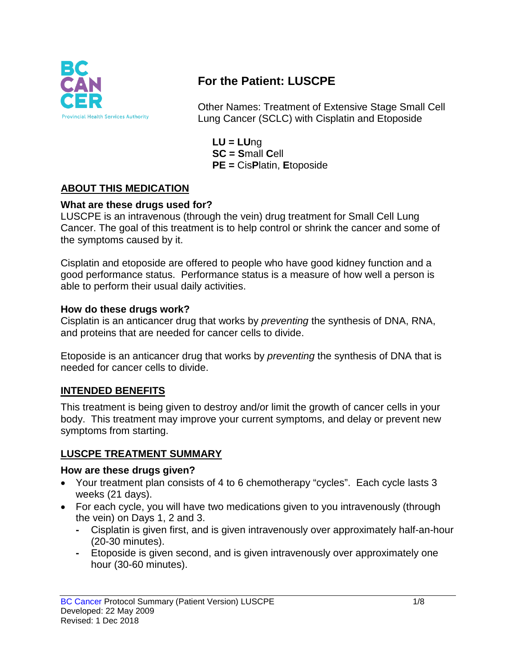

# **For the Patient: LUSCPE**

Other Names: Treatment of Extensive Stage Small Cell Lung Cancer (SCLC) with Cisplatin and Etoposide

**LU = LU**ng **SC = S**mall **C**ell **PE =** Cis**P**latin, **E**toposide

## **ABOUT THIS MEDICATION**

#### **What are these drugs used for?**

LUSCPE is an intravenous (through the vein) drug treatment for Small Cell Lung Cancer. The goal of this treatment is to help control or shrink the cancer and some of the symptoms caused by it.

Cisplatin and etoposide are offered to people who have good kidney function and a good performance status. Performance status is a measure of how well a person is able to perform their usual daily activities.

#### **How do these drugs work?**

Cisplatin is an anticancer drug that works by *preventing* the synthesis of DNA, RNA, and proteins that are needed for cancer cells to divide.

Etoposide is an anticancer drug that works by *preventing* the synthesis of DNA that is needed for cancer cells to divide.

#### **INTENDED BENEFITS**

This treatment is being given to destroy and/or limit the growth of cancer cells in your body. This treatment may improve your current symptoms, and delay or prevent new symptoms from starting.

## **LUSCPE TREATMENT SUMMARY**

#### **How are these drugs given?**

- Your treatment plan consists of 4 to 6 chemotherapy "cycles". Each cycle lasts 3 weeks (21 days).
- For each cycle, you will have two medications given to you intravenously (through the vein) on Days 1, 2 and 3.
	- **-** Cisplatin is given first, and is given intravenously over approximately half-an-hour (20-30 minutes).
	- **-** Etoposide is given second, and is given intravenously over approximately one hour (30-60 minutes).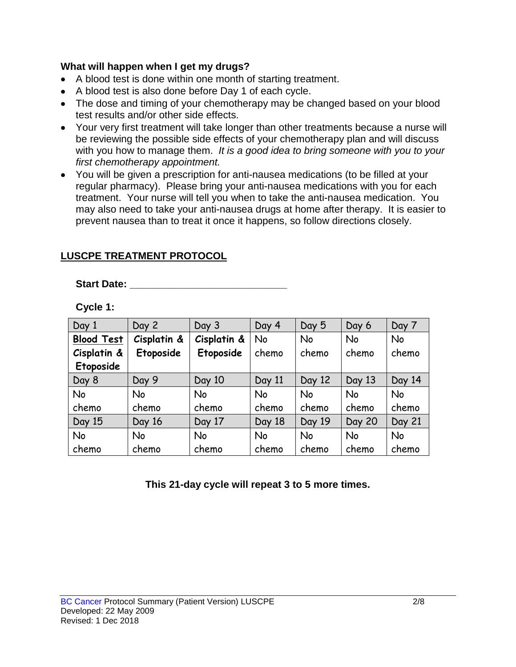#### **What will happen when I get my drugs?**

- A blood test is done within one month of starting treatment.
- A blood test is also done before Day 1 of each cycle.
- The dose and timing of your chemotherapy may be changed based on your blood test results and/or other side effects.
- Your very first treatment will take longer than other treatments because a nurse will be reviewing the possible side effects of your chemotherapy plan and will discuss with you how to manage them. *It is a good idea to bring someone with you to your first chemotherapy appointment.*
- You will be given a prescription for anti-nausea medications (to be filled at your regular pharmacy). Please bring your anti-nausea medications with you for each treatment. Your nurse will tell you when to take the anti-nausea medication. You may also need to take your anti-nausea drugs at home after therapy. It is easier to prevent nausea than to treat it once it happens, so follow directions closely.

#### **LUSCPE TREATMENT PROTOCOL**

#### **Start Date: \_\_\_\_\_\_\_\_\_\_\_\_\_\_\_\_\_\_\_\_\_\_\_\_\_\_\_\_**

| Cycle 1 |  |  |
|---------|--|--|
|---------|--|--|

| Day 1             | Day 2       | Day 3       | Day 4     | Day 5     | Day 6         | Day 7     |
|-------------------|-------------|-------------|-----------|-----------|---------------|-----------|
| <b>Blood Test</b> | Cisplatin & | Cisplatin & | <b>No</b> | <b>No</b> | <b>No</b>     | <b>No</b> |
| Cisplatin &       | Etoposide   | Etoposide   | chemo     | chemo     | chemo         | chemo     |
| Etoposide         |             |             |           |           |               |           |
| Day 8             | Day 9       | Day 10      | Day 11    | Day 12    | Day 13        | Day 14    |
| No                | No          | No          | <b>No</b> | <b>No</b> | <b>No</b>     | <b>No</b> |
| chemo             | chemo       | chemo       | chemo     | chemo     | chemo         | chemo     |
| Day 15            | Day 16      | Day 17      | Day 18    | Day 19    | <b>Day 20</b> | Day 21    |
| No                | No          | <b>No</b>   | <b>No</b> | <b>No</b> | <b>No</b>     | No        |
| chemo             | chemo       | chemo       | chemo     | chemo     | chemo         | chemo     |

**This 21-day cycle will repeat 3 to 5 more times.**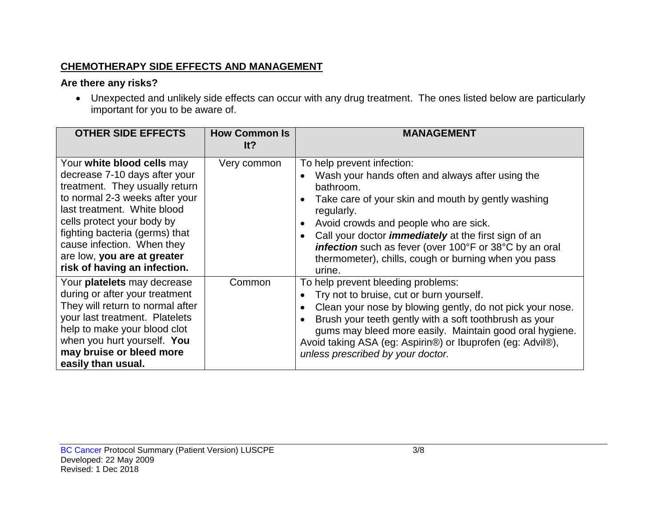#### **CHEMOTHERAPY SIDE EFFECTS AND MANAGEMENT**

## **Are there any risks?**

• Unexpected and unlikely side effects can occur with any drug treatment. The ones listed below are particularly important for you to be aware of.

| <b>OTHER SIDE EFFECTS</b>                                                                                                                                                                                                                                                                                                   | <b>How Common Is</b><br>It? | <b>MANAGEMENT</b>                                                                                                                                                                                                                                                                                                                                                                                          |
|-----------------------------------------------------------------------------------------------------------------------------------------------------------------------------------------------------------------------------------------------------------------------------------------------------------------------------|-----------------------------|------------------------------------------------------------------------------------------------------------------------------------------------------------------------------------------------------------------------------------------------------------------------------------------------------------------------------------------------------------------------------------------------------------|
| Your white blood cells may<br>decrease 7-10 days after your<br>treatment. They usually return<br>to normal 2-3 weeks after your<br>last treatment. White blood<br>cells protect your body by<br>fighting bacteria (germs) that<br>cause infection. When they<br>are low, you are at greater<br>risk of having an infection. | Very common                 | To help prevent infection:<br>Wash your hands often and always after using the<br>bathroom.<br>Take care of your skin and mouth by gently washing<br>regularly.<br>Avoid crowds and people who are sick.<br>Call your doctor <i>immediately</i> at the first sign of an<br><b>infection</b> such as fever (over 100°F or 38°C by an oral<br>thermometer), chills, cough or burning when you pass<br>urine. |
| Your platelets may decrease<br>during or after your treatment<br>They will return to normal after<br>your last treatment. Platelets<br>help to make your blood clot<br>when you hurt yourself. You<br>may bruise or bleed more<br>easily than usual.                                                                        | Common                      | To help prevent bleeding problems:<br>Try not to bruise, cut or burn yourself.<br>Clean your nose by blowing gently, do not pick your nose.<br>Brush your teeth gently with a soft toothbrush as your<br>gums may bleed more easily. Maintain good oral hygiene.<br>Avoid taking ASA (eg: Aspirin®) or Ibuprofen (eg: Advil®),<br>unless prescribed by your doctor.                                        |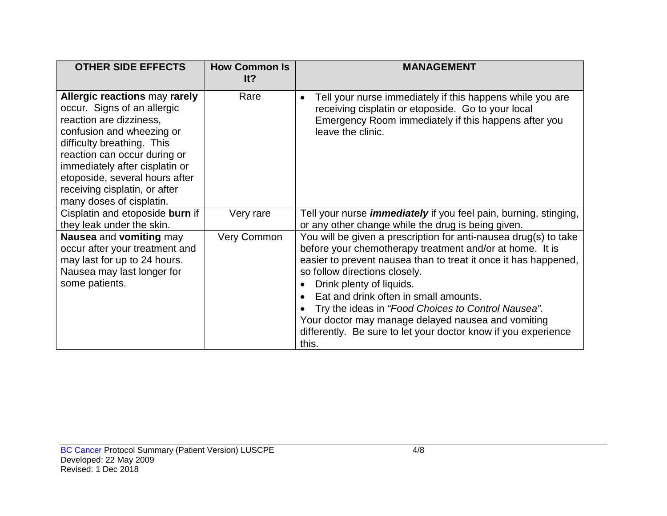| <b>OTHER SIDE EFFECTS</b>                                                                                                                                                                                                                                                                                                  | <b>How Common Is</b><br>lt? | MANAGEMENT                                                                                                                                                                                                                                                                                                                                                                                                                                                                                   |
|----------------------------------------------------------------------------------------------------------------------------------------------------------------------------------------------------------------------------------------------------------------------------------------------------------------------------|-----------------------------|----------------------------------------------------------------------------------------------------------------------------------------------------------------------------------------------------------------------------------------------------------------------------------------------------------------------------------------------------------------------------------------------------------------------------------------------------------------------------------------------|
| <b>Allergic reactions may rarely</b><br>occur. Signs of an allergic<br>reaction are dizziness,<br>confusion and wheezing or<br>difficulty breathing. This<br>reaction can occur during or<br>immediately after cisplatin or<br>etoposide, several hours after<br>receiving cisplatin, or after<br>many doses of cisplatin. | Rare                        | Tell your nurse immediately if this happens while you are<br>receiving cisplatin or etoposide. Go to your local<br>Emergency Room immediately if this happens after you<br>leave the clinic.                                                                                                                                                                                                                                                                                                 |
| Cisplatin and etoposide burn if<br>they leak under the skin.                                                                                                                                                                                                                                                               | Very rare                   | Tell your nurse <i>immediately</i> if you feel pain, burning, stinging,<br>or any other change while the drug is being given.                                                                                                                                                                                                                                                                                                                                                                |
| Nausea and vomiting may<br>occur after your treatment and<br>may last for up to 24 hours.<br>Nausea may last longer for<br>some patients.                                                                                                                                                                                  | Very Common                 | You will be given a prescription for anti-nausea drug(s) to take<br>before your chemotherapy treatment and/or at home. It is<br>easier to prevent nausea than to treat it once it has happened,<br>so follow directions closely.<br>Drink plenty of liquids.<br>Eat and drink often in small amounts.<br>Try the ideas in "Food Choices to Control Nausea".<br>Your doctor may manage delayed nausea and vomiting<br>differently. Be sure to let your doctor know if you experience<br>this. |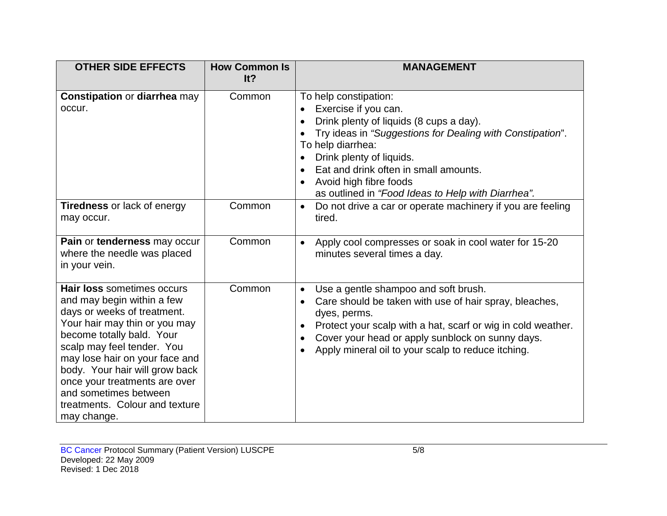| <b>OTHER SIDE EFFECTS</b>                                                                                                                                                                                                                                                                                                                                          | <b>How Common Is</b><br>It? | <b>MANAGEMENT</b>                                                                                                                                                                                                                                                                                                               |
|--------------------------------------------------------------------------------------------------------------------------------------------------------------------------------------------------------------------------------------------------------------------------------------------------------------------------------------------------------------------|-----------------------------|---------------------------------------------------------------------------------------------------------------------------------------------------------------------------------------------------------------------------------------------------------------------------------------------------------------------------------|
| <b>Constipation or diarrhea may</b><br>occur.                                                                                                                                                                                                                                                                                                                      | Common                      | To help constipation:<br>Exercise if you can.<br>Drink plenty of liquids (8 cups a day).<br>Try ideas in "Suggestions for Dealing with Constipation".<br>To help diarrhea:<br>Drink plenty of liquids.<br>Eat and drink often in small amounts.<br>Avoid high fibre foods<br>as outlined in "Food Ideas to Help with Diarrhea". |
| <b>Tiredness or lack of energy</b><br>may occur.                                                                                                                                                                                                                                                                                                                   | Common                      | Do not drive a car or operate machinery if you are feeling<br>$\bullet$<br>tired.                                                                                                                                                                                                                                               |
| Pain or tenderness may occur<br>where the needle was placed<br>in your vein.                                                                                                                                                                                                                                                                                       | Common                      | Apply cool compresses or soak in cool water for 15-20<br>$\bullet$<br>minutes several times a day.                                                                                                                                                                                                                              |
| Hair loss sometimes occurs<br>and may begin within a few<br>days or weeks of treatment.<br>Your hair may thin or you may<br>become totally bald. Your<br>scalp may feel tender. You<br>may lose hair on your face and<br>body. Your hair will grow back<br>once your treatments are over<br>and sometimes between<br>treatments. Colour and texture<br>may change. | Common                      | Use a gentle shampoo and soft brush.<br>$\bullet$<br>Care should be taken with use of hair spray, bleaches,<br>dyes, perms.<br>Protect your scalp with a hat, scarf or wig in cold weather.<br>Cover your head or apply sunblock on sunny days.<br>Apply mineral oil to your scalp to reduce itching.                           |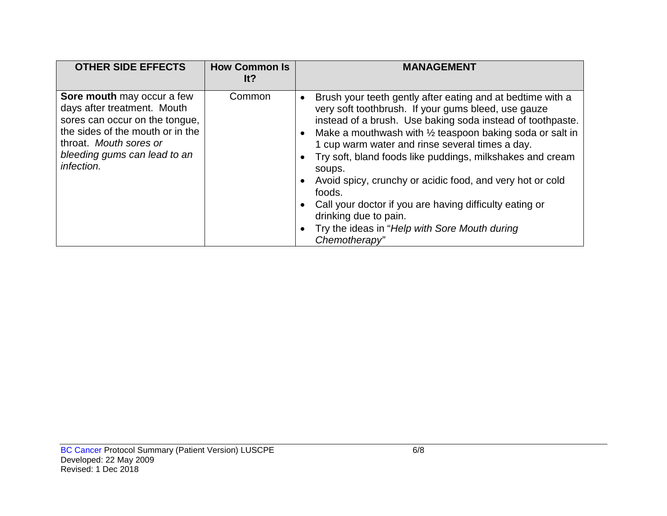| <b>OTHER SIDE EFFECTS</b>                                                                                                                                                                               | <b>How Common Is</b><br>It? | <b>MANAGEMENT</b>                                                                                                                                                                                                                                                                                                                                                                                                                                                                                                                                                                                             |
|---------------------------------------------------------------------------------------------------------------------------------------------------------------------------------------------------------|-----------------------------|---------------------------------------------------------------------------------------------------------------------------------------------------------------------------------------------------------------------------------------------------------------------------------------------------------------------------------------------------------------------------------------------------------------------------------------------------------------------------------------------------------------------------------------------------------------------------------------------------------------|
| Sore mouth may occur a few<br>days after treatment. Mouth<br>sores can occur on the tongue,<br>the sides of the mouth or in the<br>throat. Mouth sores or<br>bleeding gums can lead to an<br>infection. | Common                      | Brush your teeth gently after eating and at bedtime with a<br>very soft toothbrush. If your gums bleed, use gauze<br>instead of a brush. Use baking soda instead of toothpaste.<br>Make a mouthwash with $\frac{1}{2}$ teaspoon baking soda or salt in<br>1 cup warm water and rinse several times a day.<br>Try soft, bland foods like puddings, milkshakes and cream<br>soups.<br>Avoid spicy, crunchy or acidic food, and very hot or cold<br>foods.<br>Call your doctor if you are having difficulty eating or<br>drinking due to pain.<br>Try the ideas in "Help with Sore Mouth during<br>Chemotherapy" |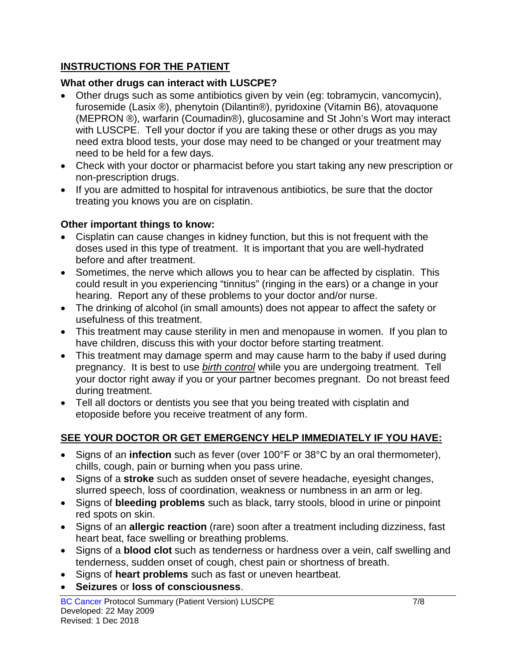## **INSTRUCTIONS FOR THE PATIENT**

## **What other drugs can interact with LUSCPE?**

- Other drugs such as some antibiotics given by vein (eg: tobramycin, vancomycin), furosemide (Lasix ®), phenytoin (Dilantin®), pyridoxine (Vitamin B6), atovaquone (MEPRON ®), warfarin (Coumadin®), glucosamine and St John's Wort may interact with LUSCPE. Tell your doctor if you are taking these or other drugs as you may need extra blood tests, your dose may need to be changed or your treatment may need to be held for a few days.
- Check with your doctor or pharmacist before you start taking any new prescription or non-prescription drugs.
- If you are admitted to hospital for intravenous antibiotics, be sure that the doctor treating you knows you are on cisplatin.

## **Other important things to know:**

- Cisplatin can cause changes in kidney function, but this is not frequent with the doses used in this type of treatment. It is important that you are well-hydrated before and after treatment.
- Sometimes, the nerve which allows you to hear can be affected by cisplatin. This could result in you experiencing "tinnitus" (ringing in the ears) or a change in your hearing. Report any of these problems to your doctor and/or nurse.
- The drinking of alcohol (in small amounts) does not appear to affect the safety or usefulness of this treatment.
- This treatment may cause sterility in men and menopause in women. If you plan to have children, discuss this with your doctor before starting treatment.
- This treatment may damage sperm and may cause harm to the baby if used during pregnancy. It is best to use *birth control* while you are undergoing treatment. Tell your doctor right away if you or your partner becomes pregnant. Do not breast feed during treatment.
- Tell all doctors or dentists you see that you being treated with cisplatin and etoposide before you receive treatment of any form.

## **SEE YOUR DOCTOR OR GET EMERGENCY HELP IMMEDIATELY IF YOU HAVE:**

- Signs of an **infection** such as fever (over 100°F or 38°C by an oral thermometer), chills, cough, pain or burning when you pass urine.
- Signs of a **stroke** such as sudden onset of severe headache, eyesight changes, slurred speech, loss of coordination, weakness or numbness in an arm or leg.
- Signs of **bleeding problems** such as black, tarry stools, blood in urine or pinpoint red spots on skin.
- Signs of an **allergic reaction** (rare) soon after a treatment including dizziness, fast heart beat, face swelling or breathing problems.
- Signs of a **blood clot** such as tenderness or hardness over a vein, calf swelling and tenderness, sudden onset of cough, chest pain or shortness of breath.
- Signs of **heart problems** such as fast or uneven heartbeat.
- **Seizures** or **loss of consciousness**.